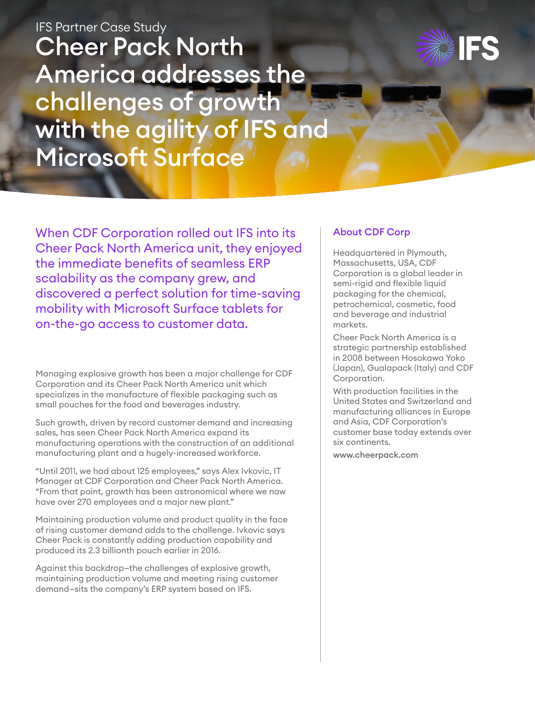Cheer Pack North America addresses the challenges of growth with the agility of IFS and Microsoft Surface IFS Partner Case Study



When CDF Corporation rolled out IFS into its Cheer Pack North America unit, they enjoyed the immediate benefits of seamless ERP scalability as the company grew, and discovered a perfect solution for time-saving mobility with Microsoft Surface tablets for on-the-go access to customer data.

Managing explosive growth has been a major challenge for CDF Corporation and its Cheer Pack North America unit which specializes in the manufacture of flexible packaging such as small pouches for the food and beverages industry.

Such growth, driven by record customer demand and increasing sales, has seen Cheer Pack North America expand its manufacturing operations with the construction of an additional manufacturing plant and a hugely-increased workforce.

"Until 2011, we had about 125 employees," says Alex Ivkovic, IT Manager at CDF Corporation and Cheer Pack North America. "From that point, growth has been astronomical where we now have over 270 employees and a major new plant."

Maintaining production volume and product quality in the face of rising customer demand adds to the challenge. Ivkovic says Cheer Pack is constantly adding production capability and produced its 2.3 billionth pouch earlier in 2016.

Against this backdrop—the challenges of explosive growth, maintaining production volume and meeting rising customer demand—sits the company's ERP system based on IFS.

#### About CDF Corp

Headquartered in Plymouth, Massachusetts, USA, CDF Corporation is a global leader in semi-rigid and flexible liquid packaging for the chemical, petrochemical, cosmetic, food and beverage and industrial markets.

Cheer Pack North America is a strategic partnership established in 2008 between Hosokawa Yoko (Japan), Gualapack (Italy) and CDF Corporation.

With production facilities in the United States and Switzerland and manufacturing alliances in Europe and Asia, CDF Corporation's customer base today extends over six continents.

www.cheerpack.com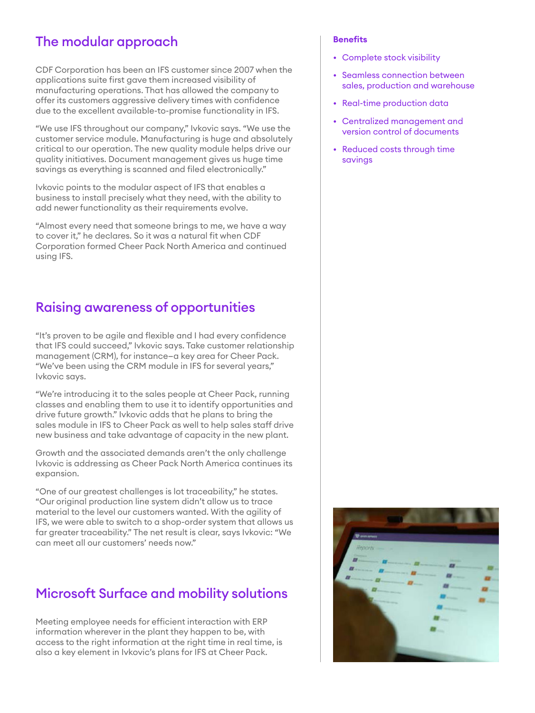#### The modular approach

CDF Corporation has been an IFS customer since 2007 when the applications suite first gave them increased visibility of manufacturing operations. That has allowed the company to offer its customers aggressive delivery times with confidence due to the excellent available-to-promise functionality in IFS.

"We use IFS throughout our company," Ivkovic says. "We use the customer service module. Manufacturing is huge and absolutely critical to our operation. The new quality module helps drive our quality initiatives. Document management gives us huge time savings as everything is scanned and filed electronically."

Ivkovic points to the modular aspect of IFS that enables a business to install precisely what they need, with the ability to add newer functionality as their requirements evolve.

"Almost every need that someone brings to me, we have a way to cover it," he declares. So it was a natural fit when CDF Corporation formed Cheer Pack North America and continued using IFS.

# Raising awareness of opportunities

"It's proven to be agile and flexible and I had every confidence that IFS could succeed," Ivkovic says. Take customer relationship management (CRM), for instance—a key area for Cheer Pack. "We've been using the CRM module in IFS for several years," Ivkovic says.

"We're introducing it to the sales people at Cheer Pack, running classes and enabling them to use it to identify opportunities and drive future growth." Ivkovic adds that he plans to bring the sales module in IFS to Cheer Pack as well to help sales staff drive new business and take advantage of capacity in the new plant.

Growth and the associated demands aren't the only challenge Ivkovic is addressing as Cheer Pack North America continues its expansion.

"One of our greatest challenges is lot traceability," he states. "Our original production line system didn't allow us to trace material to the level our customers wanted. With the agility of IFS, we were able to switch to a shop-order system that allows us far greater traceability." The net result is clear, says Ivkovic: "We can meet all our customers' needs now."

# Microsoft Surface and mobility solutions

Meeting employee needs for efficient interaction with ERP information wherever in the plant they happen to be, with access to the right information at the right time in real time, is also a key element in Ivkovic's plans for IFS at Cheer Pack.

#### **Benefits**

- Complete stock visibility
- Seamless connection between sales, production and warehouse
- Real-time production data
- Centralized management and version control of documents
- Reduced costs through time savings